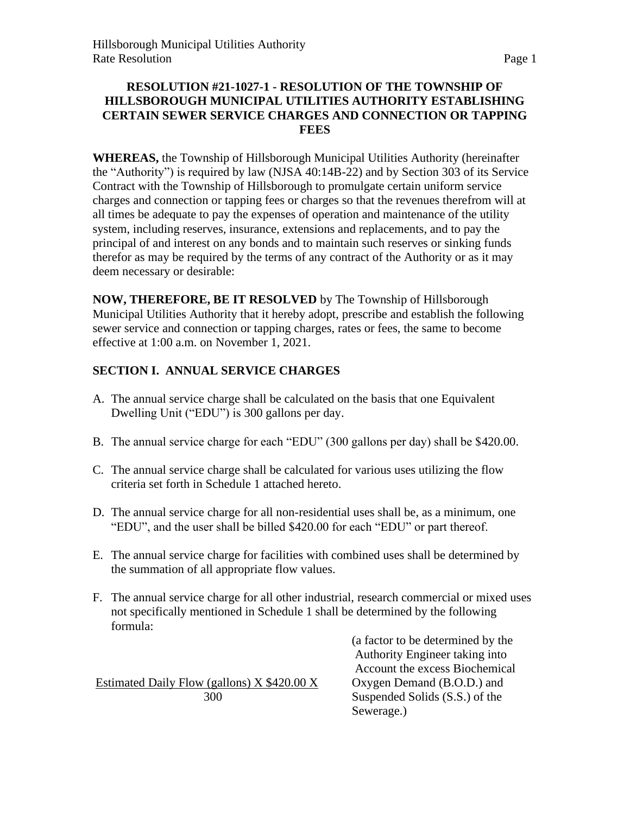#### **RESOLUTION #21-1027-1 - RESOLUTION OF THE TOWNSHIP OF HILLSBOROUGH MUNICIPAL UTILITIES AUTHORITY ESTABLISHING CERTAIN SEWER SERVICE CHARGES AND CONNECTION OR TAPPING FEES**

**WHEREAS,** the Township of Hillsborough Municipal Utilities Authority (hereinafter the "Authority") is required by law (NJSA 40:14B-22) and by Section 303 of its Service Contract with the Township of Hillsborough to promulgate certain uniform service charges and connection or tapping fees or charges so that the revenues therefrom will at all times be adequate to pay the expenses of operation and maintenance of the utility system, including reserves, insurance, extensions and replacements, and to pay the principal of and interest on any bonds and to maintain such reserves or sinking funds therefor as may be required by the terms of any contract of the Authority or as it may deem necessary or desirable:

**NOW, THEREFORE, BE IT RESOLVED** by The Township of Hillsborough Municipal Utilities Authority that it hereby adopt, prescribe and establish the following sewer service and connection or tapping charges, rates or fees, the same to become effective at 1:00 a.m. on November 1, 2021.

### **SECTION I. ANNUAL SERVICE CHARGES**

- A. The annual service charge shall be calculated on the basis that one Equivalent Dwelling Unit ("EDU") is 300 gallons per day.
- B. The annual service charge for each "EDU" (300 gallons per day) shall be \$420.00.
- C. The annual service charge shall be calculated for various uses utilizing the flow criteria set forth in Schedule 1 attached hereto.
- D. The annual service charge for all non-residential uses shall be, as a minimum, one "EDU", and the user shall be billed \$420.00 for each "EDU" or part thereof.
- E. The annual service charge for facilities with combined uses shall be determined by the summation of all appropriate flow values.
- F. The annual service charge for all other industrial, research commercial or mixed uses not specifically mentioned in Schedule 1 shall be determined by the following formula:

Estimated Daily Flow (gallons)  $X $420.00 X$  Oxygen Demand (B.O.D.) and

(a factor to be determined by the Authority Engineer taking into Account the excess Biochemical 300 Suspended Solids (S.S.) of the Sewerage.)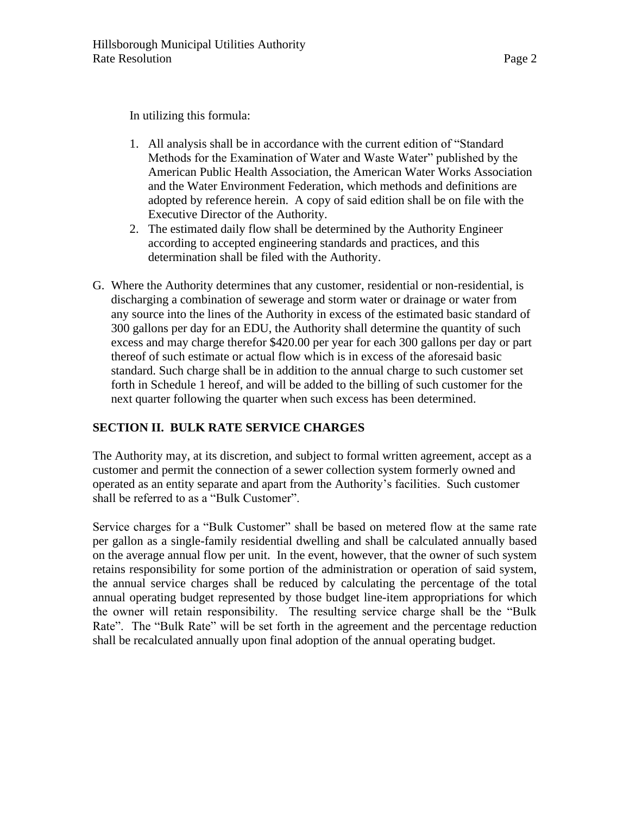In utilizing this formula:

- 1. All analysis shall be in accordance with the current edition of "Standard Methods for the Examination of Water and Waste Water" published by the American Public Health Association, the American Water Works Association and the Water Environment Federation, which methods and definitions are adopted by reference herein. A copy of said edition shall be on file with the Executive Director of the Authority.
- 2. The estimated daily flow shall be determined by the Authority Engineer according to accepted engineering standards and practices, and this determination shall be filed with the Authority.
- G. Where the Authority determines that any customer, residential or non-residential, is discharging a combination of sewerage and storm water or drainage or water from any source into the lines of the Authority in excess of the estimated basic standard of 300 gallons per day for an EDU, the Authority shall determine the quantity of such excess and may charge therefor \$420.00 per year for each 300 gallons per day or part thereof of such estimate or actual flow which is in excess of the aforesaid basic standard. Such charge shall be in addition to the annual charge to such customer set forth in Schedule 1 hereof, and will be added to the billing of such customer for the next quarter following the quarter when such excess has been determined.

### **SECTION II. BULK RATE SERVICE CHARGES**

The Authority may, at its discretion, and subject to formal written agreement, accept as a customer and permit the connection of a sewer collection system formerly owned and operated as an entity separate and apart from the Authority's facilities. Such customer shall be referred to as a "Bulk Customer".

Service charges for a "Bulk Customer" shall be based on metered flow at the same rate per gallon as a single-family residential dwelling and shall be calculated annually based on the average annual flow per unit. In the event, however, that the owner of such system retains responsibility for some portion of the administration or operation of said system, the annual service charges shall be reduced by calculating the percentage of the total annual operating budget represented by those budget line-item appropriations for which the owner will retain responsibility. The resulting service charge shall be the "Bulk Rate". The "Bulk Rate" will be set forth in the agreement and the percentage reduction shall be recalculated annually upon final adoption of the annual operating budget.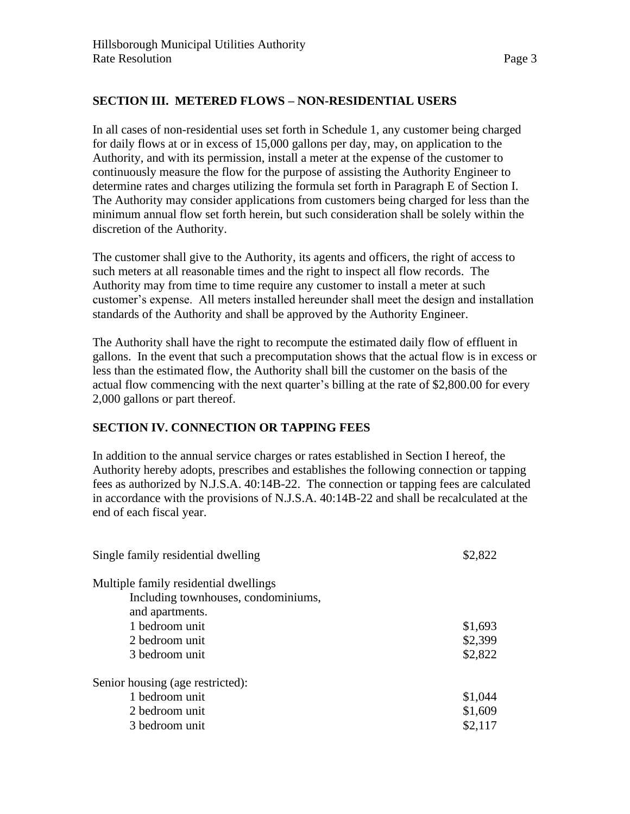#### **SECTION III. METERED FLOWS – NON-RESIDENTIAL USERS**

In all cases of non-residential uses set forth in Schedule 1, any customer being charged for daily flows at or in excess of 15,000 gallons per day, may, on application to the Authority, and with its permission, install a meter at the expense of the customer to continuously measure the flow for the purpose of assisting the Authority Engineer to determine rates and charges utilizing the formula set forth in Paragraph E of Section I. The Authority may consider applications from customers being charged for less than the minimum annual flow set forth herein, but such consideration shall be solely within the discretion of the Authority.

The customer shall give to the Authority, its agents and officers, the right of access to such meters at all reasonable times and the right to inspect all flow records. The Authority may from time to time require any customer to install a meter at such customer's expense. All meters installed hereunder shall meet the design and installation standards of the Authority and shall be approved by the Authority Engineer.

The Authority shall have the right to recompute the estimated daily flow of effluent in gallons. In the event that such a precomputation shows that the actual flow is in excess or less than the estimated flow, the Authority shall bill the customer on the basis of the actual flow commencing with the next quarter's billing at the rate of \$2,800.00 for every 2,000 gallons or part thereof.

#### **SECTION IV. CONNECTION OR TAPPING FEES**

In addition to the annual service charges or rates established in Section I hereof, the Authority hereby adopts, prescribes and establishes the following connection or tapping fees as authorized by N.J.S.A. 40:14B-22. The connection or tapping fees are calculated in accordance with the provisions of N.J.S.A. 40:14B-22 and shall be recalculated at the end of each fiscal year.

| Single family residential dwelling    | \$2,822 |
|---------------------------------------|---------|
| Multiple family residential dwellings |         |
| Including townhouses, condominiums,   |         |
| and apartments.                       |         |
| 1 bedroom unit                        | \$1,693 |
| 2 bedroom unit                        | \$2,399 |
| 3 bedroom unit                        | \$2,822 |
| Senior housing (age restricted):      |         |
| 1 bedroom unit                        | \$1,044 |
| 2 bedroom unit                        | \$1,609 |
| 3 bedroom unit                        | \$2,117 |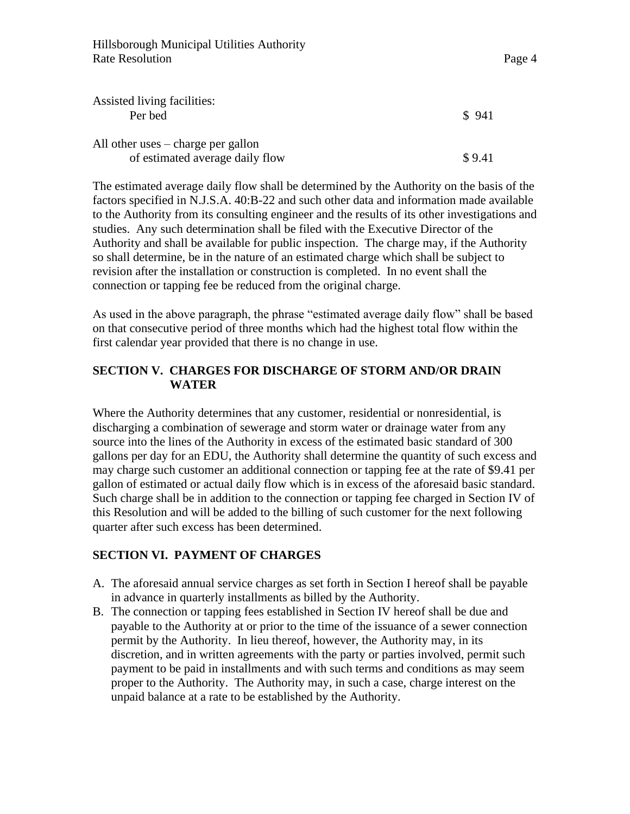| Assisted living facilities:                |        |
|--------------------------------------------|--------|
| Per bed                                    | \$941  |
|                                            |        |
| All other uses $-\text{charge}$ per gallon |        |
| of estimated average daily flow            | \$9.41 |

The estimated average daily flow shall be determined by the Authority on the basis of the factors specified in N.J.S.A. 40:B-22 and such other data and information made available to the Authority from its consulting engineer and the results of its other investigations and studies. Any such determination shall be filed with the Executive Director of the Authority and shall be available for public inspection. The charge may, if the Authority so shall determine, be in the nature of an estimated charge which shall be subject to revision after the installation or construction is completed. In no event shall the connection or tapping fee be reduced from the original charge.

As used in the above paragraph, the phrase "estimated average daily flow" shall be based on that consecutive period of three months which had the highest total flow within the first calendar year provided that there is no change in use.

#### **SECTION V. CHARGES FOR DISCHARGE OF STORM AND/OR DRAIN WATER**

Where the Authority determines that any customer, residential or nonresidential, is discharging a combination of sewerage and storm water or drainage water from any source into the lines of the Authority in excess of the estimated basic standard of 300 gallons per day for an EDU, the Authority shall determine the quantity of such excess and may charge such customer an additional connection or tapping fee at the rate of \$9.41 per gallon of estimated or actual daily flow which is in excess of the aforesaid basic standard. Such charge shall be in addition to the connection or tapping fee charged in Section IV of this Resolution and will be added to the billing of such customer for the next following quarter after such excess has been determined.

#### **SECTION VI. PAYMENT OF CHARGES**

- A. The aforesaid annual service charges as set forth in Section I hereof shall be payable in advance in quarterly installments as billed by the Authority.
- B. The connection or tapping fees established in Section IV hereof shall be due and payable to the Authority at or prior to the time of the issuance of a sewer connection permit by the Authority. In lieu thereof, however, the Authority may, in its discretion, and in written agreements with the party or parties involved, permit such payment to be paid in installments and with such terms and conditions as may seem proper to the Authority. The Authority may, in such a case, charge interest on the unpaid balance at a rate to be established by the Authority.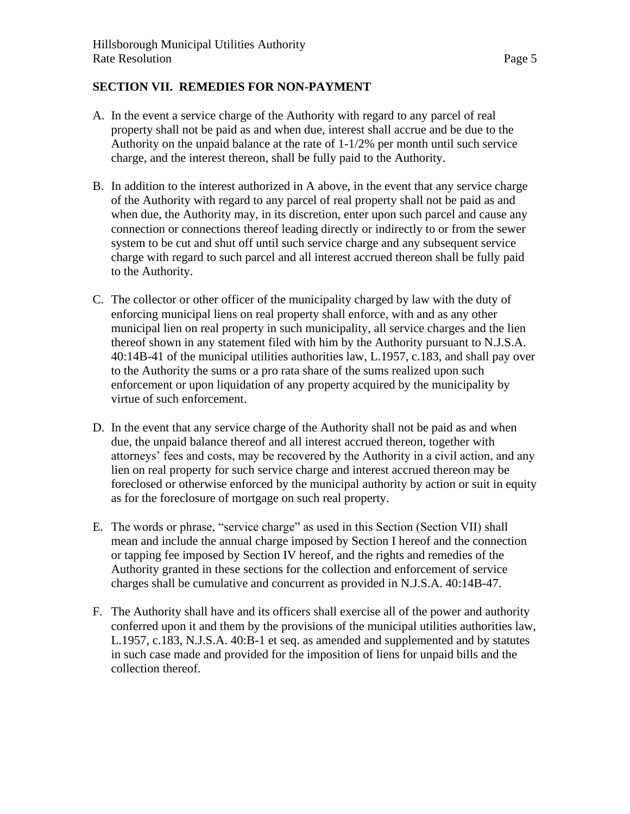#### **SECTION VII. REMEDIES FOR NON-PAYMENT**

- A. In the event a service charge of the Authority with regard to any parcel of real property shall not be paid as and when due, interest shall accrue and be due to the Authority on the unpaid balance at the rate of 1-1/2% per month until such service charge, and the interest thereon, shall be fully paid to the Authority.
- B. In addition to the interest authorized in A above, in the event that any service charge of the Authority with regard to any parcel of real property shall not be paid as and when due, the Authority may, in its discretion, enter upon such parcel and cause any connection or connections thereof leading directly or indirectly to or from the sewer system to be cut and shut off until such service charge and any subsequent service charge with regard to such parcel and all interest accrued thereon shall be fully paid to the Authority.
- C. The collector or other officer of the municipality charged by law with the duty of enforcing municipal liens on real property shall enforce, with and as any other municipal lien on real property in such municipality, all service charges and the lien thereof shown in any statement filed with him by the Authority pursuant to N.J.S.A. 40:14B-41 of the municipal utilities authorities law, L.1957, c.183, and shall pay over to the Authority the sums or a pro rata share of the sums realized upon such enforcement or upon liquidation of any property acquired by the municipality by virtue of such enforcement.
- D. In the event that any service charge of the Authority shall not be paid as and when due, the unpaid balance thereof and all interest accrued thereon, together with attorneys' fees and costs, may be recovered by the Authority in a civil action, and any lien on real property for such service charge and interest accrued thereon may be foreclosed or otherwise enforced by the municipal authority by action or suit in equity as for the foreclosure of mortgage on such real property.
- E. The words or phrase, "service charge" as used in this Section (Section VII) shall mean and include the annual charge imposed by Section I hereof and the connection or tapping fee imposed by Section IV hereof, and the rights and remedies of the Authority granted in these sections for the collection and enforcement of service charges shall be cumulative and concurrent as provided in N.J.S.A. 40:14B-47.
- F. The Authority shall have and its officers shall exercise all of the power and authority conferred upon it and them by the provisions of the municipal utilities authorities law, L.1957, c.183, N.J.S.A. 40:B-1 et seq. as amended and supplemented and by statutes in such case made and provided for the imposition of liens for unpaid bills and the collection thereof.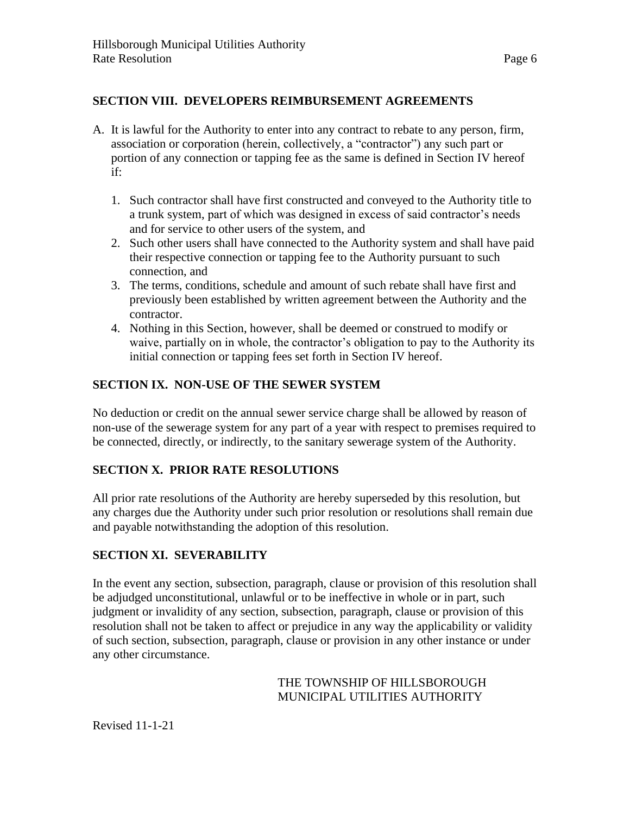#### **SECTION VIII. DEVELOPERS REIMBURSEMENT AGREEMENTS**

- A. It is lawful for the Authority to enter into any contract to rebate to any person, firm, association or corporation (herein, collectively, a "contractor") any such part or portion of any connection or tapping fee as the same is defined in Section IV hereof if:
	- 1. Such contractor shall have first constructed and conveyed to the Authority title to a trunk system, part of which was designed in excess of said contractor's needs and for service to other users of the system, and
	- 2. Such other users shall have connected to the Authority system and shall have paid their respective connection or tapping fee to the Authority pursuant to such connection, and
	- 3. The terms, conditions, schedule and amount of such rebate shall have first and previously been established by written agreement between the Authority and the contractor.
	- 4. Nothing in this Section, however, shall be deemed or construed to modify or waive, partially on in whole, the contractor's obligation to pay to the Authority its initial connection or tapping fees set forth in Section IV hereof.

#### **SECTION IX. NON-USE OF THE SEWER SYSTEM**

No deduction or credit on the annual sewer service charge shall be allowed by reason of non-use of the sewerage system for any part of a year with respect to premises required to be connected, directly, or indirectly, to the sanitary sewerage system of the Authority.

#### **SECTION X. PRIOR RATE RESOLUTIONS**

All prior rate resolutions of the Authority are hereby superseded by this resolution, but any charges due the Authority under such prior resolution or resolutions shall remain due and payable notwithstanding the adoption of this resolution.

#### **SECTION XI. SEVERABILITY**

In the event any section, subsection, paragraph, clause or provision of this resolution shall be adjudged unconstitutional, unlawful or to be ineffective in whole or in part, such judgment or invalidity of any section, subsection, paragraph, clause or provision of this resolution shall not be taken to affect or prejudice in any way the applicability or validity of such section, subsection, paragraph, clause or provision in any other instance or under any other circumstance.

#### THE TOWNSHIP OF HILLSBOROUGH MUNICIPAL UTILITIES AUTHORITY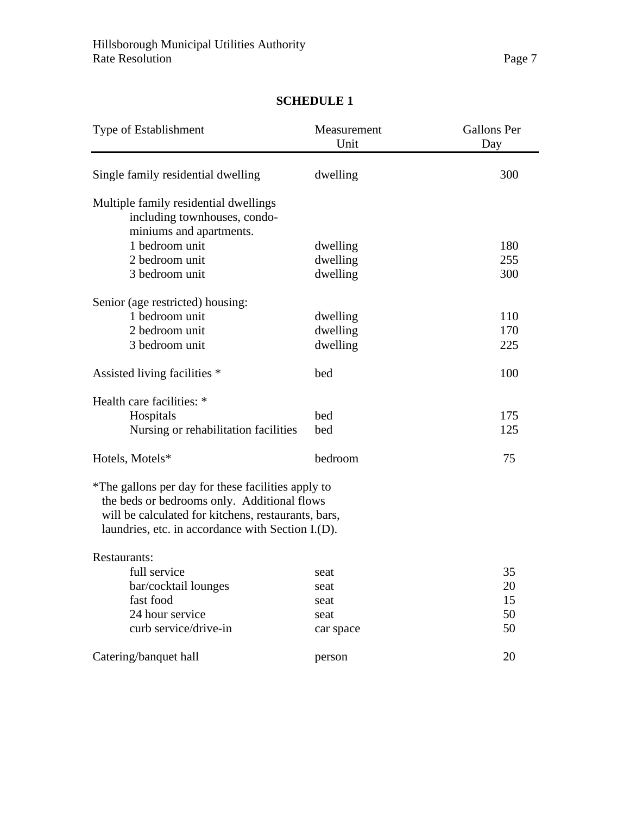| Type of Establishment                                                                                                                                                                                         | Measurement<br>Unit | <b>Gallons Per</b><br>Day |
|---------------------------------------------------------------------------------------------------------------------------------------------------------------------------------------------------------------|---------------------|---------------------------|
| Single family residential dwelling                                                                                                                                                                            | dwelling            | 300                       |
| Multiple family residential dwellings<br>including townhouses, condo-<br>miniums and apartments.                                                                                                              |                     |                           |
| 1 bedroom unit                                                                                                                                                                                                | dwelling            | 180                       |
| 2 bedroom unit                                                                                                                                                                                                | dwelling            | 255                       |
| 3 bedroom unit                                                                                                                                                                                                | dwelling            | 300                       |
| Senior (age restricted) housing:                                                                                                                                                                              |                     |                           |
| 1 bedroom unit                                                                                                                                                                                                | dwelling            | 110                       |
| 2 bedroom unit                                                                                                                                                                                                | dwelling            | 170                       |
| 3 bedroom unit                                                                                                                                                                                                | dwelling            | 225                       |
| Assisted living facilities *                                                                                                                                                                                  | bed                 | 100                       |
| Health care facilities: *                                                                                                                                                                                     |                     |                           |
| Hospitals                                                                                                                                                                                                     | bed                 | 175                       |
| Nursing or rehabilitation facilities                                                                                                                                                                          | bed                 | 125                       |
| Hotels, Motels*                                                                                                                                                                                               | bedroom             | 75                        |
| *The gallons per day for these facilities apply to<br>the beds or bedrooms only. Additional flows<br>will be calculated for kitchens, restaurants, bars,<br>laundries, etc. in accordance with Section I.(D). |                     |                           |
| Restaurants:                                                                                                                                                                                                  |                     |                           |
| full service                                                                                                                                                                                                  | seat                | 35                        |
| bar/cocktail lounges                                                                                                                                                                                          | seat                | 20                        |
| fast food                                                                                                                                                                                                     | seat                | 15                        |
| 24 hour service                                                                                                                                                                                               | seat                | 50                        |
| curb service/drive-in                                                                                                                                                                                         | car space           | 50                        |
| Catering/banquet hall                                                                                                                                                                                         | person              | 20                        |

## **SCHEDULE 1**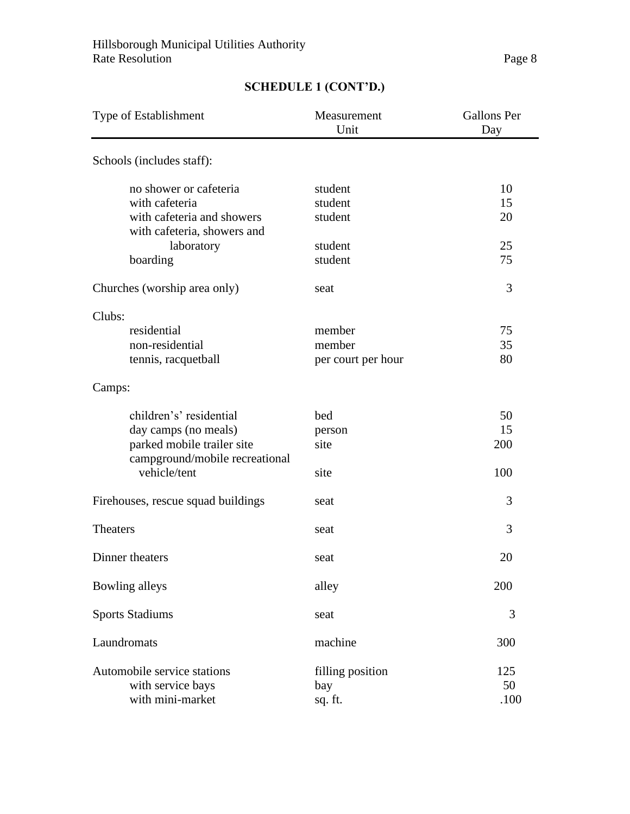| Type of Establishment                                        | Measurement<br>Unit | <b>Gallons</b> Per<br>Day |
|--------------------------------------------------------------|---------------------|---------------------------|
| Schools (includes staff):                                    |                     |                           |
| no shower or cafeteria                                       | student             | 10                        |
| with cafeteria                                               | student             | 15                        |
| with cafeteria and showers<br>with cafeteria, showers and    | student             | 20                        |
| laboratory                                                   | student             | 25                        |
| boarding                                                     | student             | 75                        |
| Churches (worship area only)                                 | seat                | 3                         |
| Clubs:                                                       |                     |                           |
| residential                                                  | member              | 75                        |
| non-residential                                              | member              | 35                        |
| tennis, racquetball                                          | per court per hour  | 80                        |
| Camps:                                                       |                     |                           |
| children's' residential                                      | bed                 | 50                        |
| day camps (no meals)                                         | person              | 15                        |
| parked mobile trailer site<br>campground/mobile recreational | site                | 200                       |
| vehicle/tent                                                 | site                | 100                       |
| Firehouses, rescue squad buildings                           | seat                | 3                         |
| <b>Theaters</b>                                              | seat                | 3                         |
| Dinner theaters                                              | seat                | 20                        |
| <b>Bowling alleys</b>                                        | alley               | 200                       |
| <b>Sports Stadiums</b>                                       | seat                | 3                         |
| Laundromats                                                  | machine             | 300                       |
| Automobile service stations                                  | filling position    | 125                       |
| with service bays                                            | bay                 | 50                        |
| with mini-market                                             | sq. ft.             | .100                      |

# **SCHEDULE 1 (CONT'D.)**